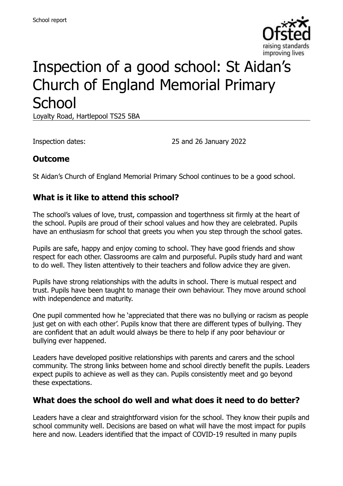

# Inspection of a good school: St Aidan's Church of England Memorial Primary **School**

Loyalty Road, Hartlepool TS25 5BA

Inspection dates: 25 and 26 January 2022

#### **Outcome**

St Aidan's Church of England Memorial Primary School continues to be a good school.

## **What is it like to attend this school?**

The school's values of love, trust, compassion and togerthness sit firmly at the heart of the school. Pupils are proud of their school values and how they are celebrated. Pupils have an enthusiasm for school that greets you when you step through the school gates.

Pupils are safe, happy and enjoy coming to school. They have good friends and show respect for each other. Classrooms are calm and purposeful. Pupils study hard and want to do well. They listen attentively to their teachers and follow advice they are given.

Pupils have strong relationships with the adults in school. There is mutual respect and trust. Pupils have been taught to manage their own behaviour. They move around school with independence and maturity.

One pupil commented how he 'appreciated that there was no bullying or racism as people just get on with each other'. Pupils know that there are different types of bullying. They are confident that an adult would always be there to help if any poor behaviour or bullying ever happened.

Leaders have developed positive relationships with parents and carers and the school community. The strong links between home and school directly benefit the pupils. Leaders expect pupils to achieve as well as they can. Pupils consistently meet and go beyond these expectations.

#### **What does the school do well and what does it need to do better?**

Leaders have a clear and straightforward vision for the school. They know their pupils and school community well. Decisions are based on what will have the most impact for pupils here and now. Leaders identified that the impact of COVID-19 resulted in many pupils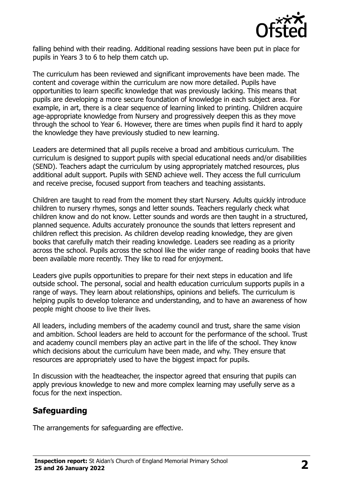

falling behind with their reading. Additional reading sessions have been put in place for pupils in Years 3 to 6 to help them catch up.

The curriculum has been reviewed and significant improvements have been made. The content and coverage within the curriculum are now more detailed. Pupils have opportunities to learn specific knowledge that was previously lacking. This means that pupils are developing a more secure foundation of knowledge in each subject area. For example, in art, there is a clear sequence of learning linked to printing. Children acquire age-appropriate knowledge from Nursery and progressively deepen this as they move through the school to Year 6. However, there are times when pupils find it hard to apply the knowledge they have previously studied to new learning.

Leaders are determined that all pupils receive a broad and ambitious curriculum. The curriculum is designed to support pupils with special educational needs and/or disabilities (SEND). Teachers adapt the curriculum by using appropriately matched resources, plus additional adult support. Pupils with SEND achieve well. They access the full curriculum and receive precise, focused support from teachers and teaching assistants.

Children are taught to read from the moment they start Nursery. Adults quickly introduce children to nursery rhymes, songs and letter sounds. Teachers regularly check what children know and do not know. Letter sounds and words are then taught in a structured, planned sequence. Adults accurately pronounce the sounds that letters represent and children reflect this precision. As children develop reading knowledge, they are given books that carefully match their reading knowledge. Leaders see reading as a priority across the school. Pupils across the school like the wider range of reading books that have been available more recently. They like to read for enjoyment.

Leaders give pupils opportunities to prepare for their next steps in education and life outside school. The personal, social and health education curriculum supports pupils in a range of ways. They learn about relationships, opinions and beliefs. The curriculum is helping pupils to develop tolerance and understanding, and to have an awareness of how people might choose to live their lives.

All leaders, including members of the academy council and trust, share the same vision and ambition. School leaders are held to account for the performance of the school. Trust and academy council members play an active part in the life of the school. They know which decisions about the curriculum have been made, and why. They ensure that resources are appropriately used to have the biggest impact for pupils.

In discussion with the headteacher, the inspector agreed that ensuring that pupils can apply previous knowledge to new and more complex learning may usefully serve as a focus for the next inspection.

# **Safeguarding**

The arrangements for safeguarding are effective.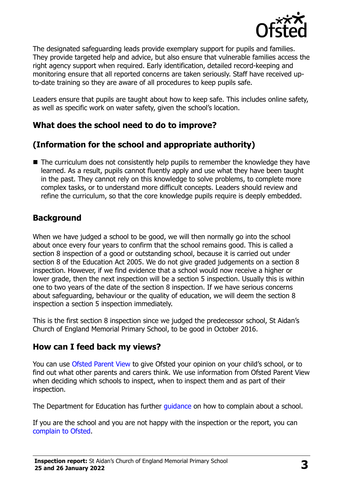

The designated safeguarding leads provide exemplary support for pupils and families. They provide targeted help and advice, but also ensure that vulnerable families access the right agency support when required. Early identification, detailed record-keeping and monitoring ensure that all reported concerns are taken seriously. Staff have received upto-date training so they are aware of all procedures to keep pupils safe.

Leaders ensure that pupils are taught about how to keep safe. This includes online safety, as well as specific work on water safety, given the school's location.

## **What does the school need to do to improve?**

# **(Information for the school and appropriate authority)**

■ The curriculum does not consistently help pupils to remember the knowledge they have learned. As a result, pupils cannot fluently apply and use what they have been taught in the past. They cannot rely on this knowledge to solve problems, to complete more complex tasks, or to understand more difficult concepts. Leaders should review and refine the curriculum, so that the core knowledge pupils require is deeply embedded.

#### **Background**

When we have judged a school to be good, we will then normally go into the school about once every four years to confirm that the school remains good. This is called a section 8 inspection of a good or outstanding school, because it is carried out under section 8 of the Education Act 2005. We do not give graded judgements on a section 8 inspection. However, if we find evidence that a school would now receive a higher or lower grade, then the next inspection will be a section 5 inspection. Usually this is within one to two years of the date of the section 8 inspection. If we have serious concerns about safeguarding, behaviour or the quality of education, we will deem the section 8 inspection a section 5 inspection immediately.

This is the first section 8 inspection since we judged the predecessor school, St Aidan's Church of England Memorial Primary School, to be good in October 2016.

#### **How can I feed back my views?**

You can use [Ofsted Parent View](https://parentview.ofsted.gov.uk/) to give Ofsted your opinion on your child's school, or to find out what other parents and carers think. We use information from Ofsted Parent View when deciding which schools to inspect, when to inspect them and as part of their inspection.

The Department for Education has further quidance on how to complain about a school.

If you are the school and you are not happy with the inspection or the report, you can [complain to Ofsted.](https://www.gov.uk/complain-ofsted-report)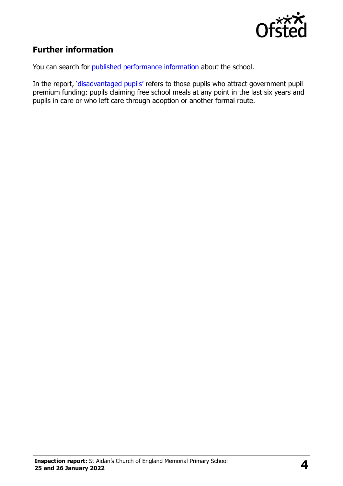

# **Further information**

You can search for [published performance information](http://www.compare-school-performance.service.gov.uk/) about the school.

In the report, '[disadvantaged pupils](http://www.gov.uk/guidance/pupil-premium-information-for-schools-and-alternative-provision-settings)' refers to those pupils who attract government pupil premium funding: pupils claiming free school meals at any point in the last six years and pupils in care or who left care through adoption or another formal route.

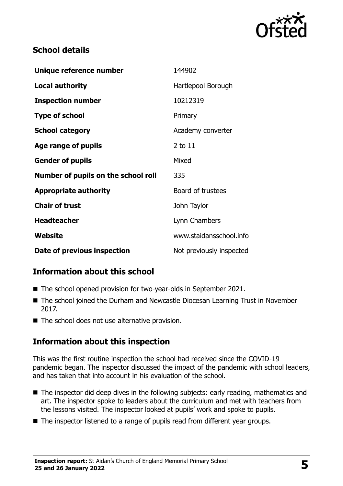

## **School details**

| Unique reference number             | 144902                   |
|-------------------------------------|--------------------------|
| Local authority                     | Hartlepool Borough       |
| <b>Inspection number</b>            | 10212319                 |
| <b>Type of school</b>               | Primary                  |
| <b>School category</b>              | Academy converter        |
| Age range of pupils                 | 2 to 11                  |
| <b>Gender of pupils</b>             | Mixed                    |
| Number of pupils on the school roll | 335                      |
| <b>Appropriate authority</b>        | Board of trustees        |
| <b>Chair of trust</b>               | John Taylor              |
| <b>Headteacher</b>                  | Lynn Chambers            |
| Website                             | www.staidansschool.info  |
| Date of previous inspection         | Not previously inspected |

# **Information about this school**

- The school opened provision for two-year-olds in September 2021.
- The school joined the Durham and Newcastle Diocesan Learning Trust in November 2017.
- The school does not use alternative provision.

# **Information about this inspection**

This was the first routine inspection the school had received since the COVID-19 pandemic began. The inspector discussed the impact of the pandemic with school leaders, and has taken that into account in his evaluation of the school.

- The inspector did deep dives in the following subjects: early reading, mathematics and art. The inspector spoke to leaders about the curriculum and met with teachers from the lessons visited. The inspector looked at pupils' work and spoke to pupils.
- The inspector listened to a range of pupils read from different year groups.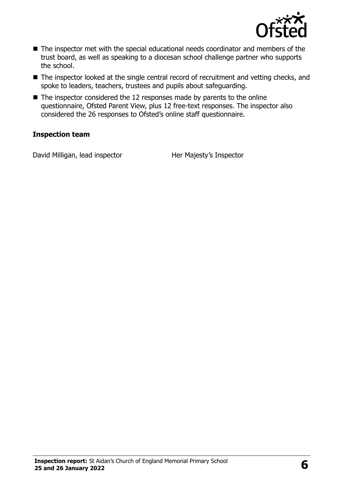

- The inspector met with the special educational needs coordinator and members of the trust board, as well as speaking to a diocesan school challenge partner who supports the school.
- The inspector looked at the single central record of recruitment and vetting checks, and spoke to leaders, teachers, trustees and pupils about safeguarding.
- $\blacksquare$  The inspector considered the 12 responses made by parents to the online questionnaire, Ofsted Parent View, plus 12 free-text responses. The inspector also considered the 26 responses to Ofsted's online staff questionnaire.

#### **Inspection team**

David Milligan, lead inspector Her Majesty's Inspector